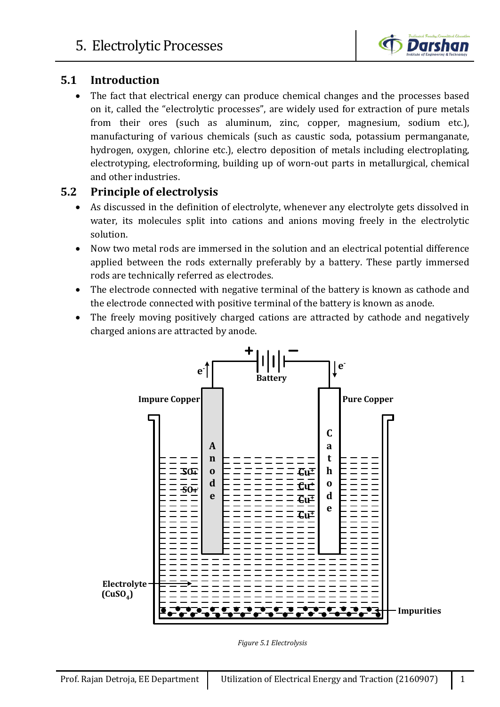

## **5.1 Introduction**

The fact that electrical energy can produce chemical changes and the processes based on it, called the "electrolytic processes", are widely used for extraction of pure metals from their ores (such as aluminum, zinc, copper, magnesium, sodium etc.), manufacturing of various chemicals (such as caustic soda, potassium permanganate, hydrogen, oxygen, chlorine etc.), electro deposition of metals including electroplating, electrotyping, electroforming, building up of worn-out parts in metallurgical, chemical and other industries.

## **5.2 Principle of electrolysis**

- As discussed in the definition of electrolyte, whenever any electrolyte gets dissolved in water, its molecules split into cations and anions moving freely in the electrolytic solution.
- Now two metal rods are immersed in the solution and an electrical potential difference applied between the rods externally preferably by a battery. These partly immersed rods are technically referred as electrodes.
- The electrode connected with negative terminal of the battery is known as cathode and the electrode connected with positive terminal of the battery is known as anode.
- The freely moving positively charged cations are attracted by cathode and negatively charged anions are attracted by anode.



*Figure 5.1 Electrolysis*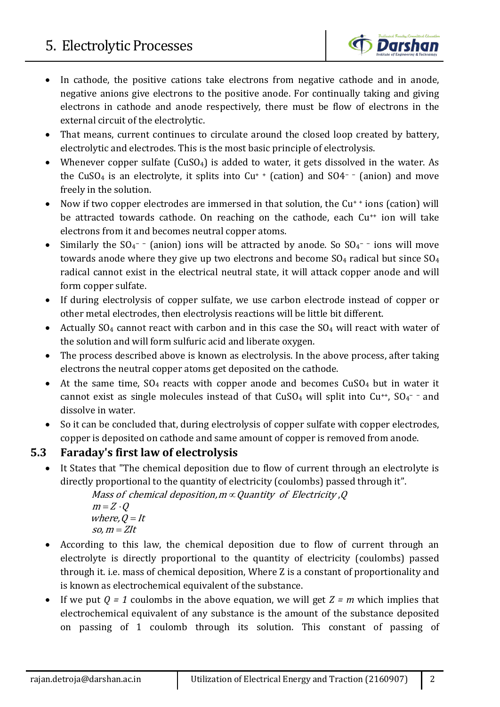

- In cathode, the positive cations take electrons from negative cathode and in anode, negative anions give electrons to the positive anode. For continually taking and giving electrons in cathode and anode respectively, there must be flow of electrons in the external circuit of the electrolytic.
- That means, current continues to circulate around the closed loop created by battery, electrolytic and electrodes. This is the most basic principle of electrolysis.
- Whenever copper sulfate (CuSO<sub>4</sub>) is added to water, it gets dissolved in the water. As the CuSO4 is an electrolyte, it splits into Cu+ + (cation) and SO4<sup>−</sup> <sup>−</sup> (anion) and move freely in the solution.
- Now if two copper electrodes are immersed in that solution, the Cu<sup>++</sup> ions (cation) will be attracted towards cathode. On reaching on the cathode, each Cu<sup>++</sup> ion will take electrons from it and becomes neutral copper atoms.
- Similarly the SO<sub>4</sub><sup>−</sup> (anion) ions will be attracted by anode. So SO<sub>4</sub><sup>−</sup> ions will move towards anode where they give up two electrons and become  $SO_4$  radical but since  $SO_4$ radical cannot exist in the electrical neutral state, it will attack copper anode and will form copper sulfate.
- If during electrolysis of copper sulfate, we use carbon electrode instead of copper or other metal electrodes, then electrolysis reactions will be little bit different.
- Actually  $SO_4$  cannot react with carbon and in this case the  $SO_4$  will react with water of the solution and will form sulfuric acid and liberate oxygen.
- The process described above is known as electrolysis. In the above process, after taking electrons the neutral copper atoms get deposited on the cathode.
- At the same time,  $SO_4$  reacts with copper anode and becomes  $CuSO_4$  but in water it cannot exist as single molecules instead of that  $CuSO<sub>4</sub>$  will split into  $Cu<sup>++</sup>$ ,  $SO<sub>4</sub><sup>-</sup>$  and dissolve in water.
- So it can be concluded that, during electrolysis of copper sulfate with copper electrodes, copper is deposited on cathode and same amount of copper is removed from anode.

## **5.3 Faraday's first law of electrolysis**

• It States that "The chemical deposition due to flow of current through an electrolyte is directly proportional to the quantity of electricity (coulombs) passed through it".

> Mass of chemical deposition, m $\propto$  Quantity  $\,$  of Electricity ,Q  $m = Z \cdot Q$ where,  $Q = It$

- $so, m = Zlt$
- According to this law, the chemical deposition due to flow of current through an electrolyte is directly proportional to the quantity of electricity (coulombs) passed through it. i.e. mass of chemical deposition, Where Z is a constant of proportionality and is known as electrochemical equivalent of the substance.
- If we put  $Q = 1$  coulombs in the above equation, we will get  $Z = m$  which implies that electrochemical equivalent of any substance is the amount of the substance deposited on passing of 1 coulomb through its solution. This constant of passing of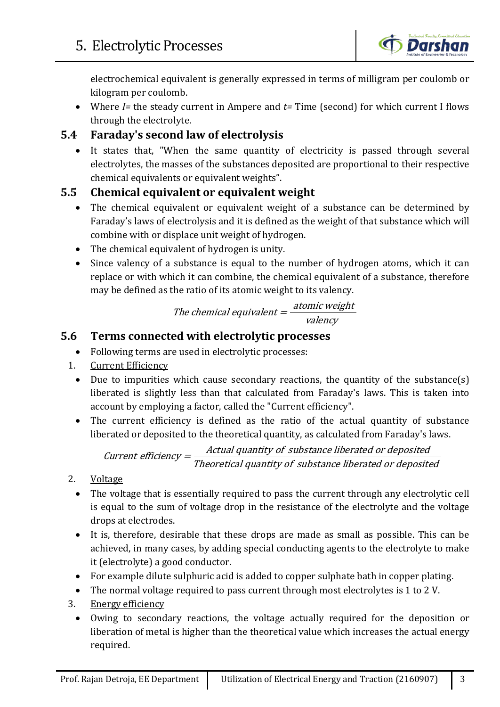

electrochemical equivalent is generally expressed in terms of milligram per coulomb or kilogram per coulomb.

• Where *I=* the steady current in Ampere and *t=* Time (second) for which current I flows through the electrolyte.

## **5.4 Faraday's second law of electrolysis**

• It states that, "When the same quantity of electricity is passed through several electrolytes, the masses of the substances deposited are proportional to their respective chemical equivalents or equivalent weights".

## **5.5 Chemical equivalent or equivalent weight**

- The chemical equivalent or equivalent weight of a substance can be determined by Faraday's laws of electrolysis and it is defined as the weight of that substance which will combine with or displace unit weight of hydrogen.
- The chemical equivalent of hydrogen is unity.
- Since valency of a substance is equal to the number of hydrogen atoms, which it can replace or with which it can combine, the chemical equivalent of a substance, therefore may be defined as the ratio of its atomic weight to its valency.

# The chemical equivalent  $=\frac{atomic weight}{valency}$

## **5.6 Terms connected with electrolytic processes**

- Following terms are used in electrolytic processes:
- 1. Current Efficiency
	- Due to impurities which cause secondary reactions, the quantity of the substance(s) liberated is slightly less than that calculated from Faraday's laws. This is taken into account by employing a factor, called the "Current efficiency".
	- The current efficiency is defined as the ratio of the actual quantity of substance liberated or deposited to the theoretical quantity, as calculated from Faraday's laws.

Current efficiency  $=$   $\frac{Actual$  quantity of substance liberated or deposited  $\frac{Theoretical$  quantity of substance liberated or deposited

- 2. Voltage
	- The voltage that is essentially required to pass the current through any electrolytic cell is equal to the sum of voltage drop in the resistance of the electrolyte and the voltage drops at electrodes.
	- It is, therefore, desirable that these drops are made as small as possible. This can be achieved, in many cases, by adding special conducting agents to the electrolyte to make it (electrolyte) a good conductor.
	- For example dilute sulphuric acid is added to copper sulphate bath in copper plating.
	- The normal voltage required to pass current through most electrolytes is 1 to 2 V.
- 3. Energy efficiency
	- Owing to secondary reactions, the voltage actually required for the deposition or liberation of metal is higher than the theoretical value which increases the actual energy required.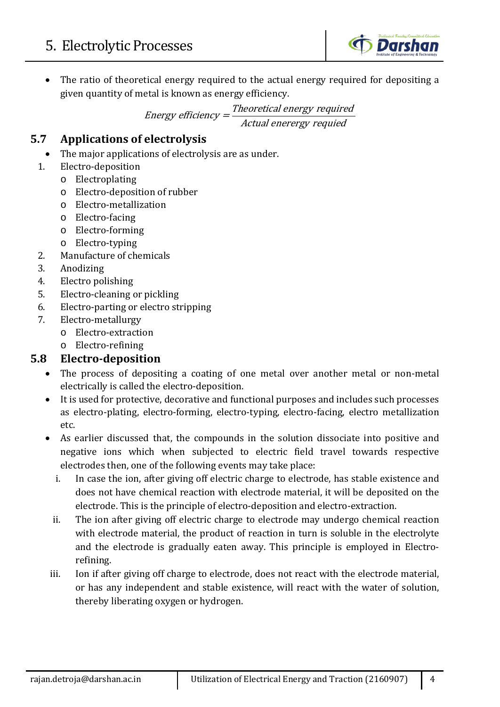

• The ratio of theoretical energy required to the actual energy required for depositing a given quantity of metal is known as energy efficiency.

Energy efficiency  $=$  Theoretical energy required<br>Actual enerergy requied

#### **5.7 Applications of electrolysis**

- The major applications of electrolysis are as under.
- 1. Electro-deposition
	- o Electroplating
	- o Electro-deposition of rubber
	- o Electro-metallization
	- o Electro-facing
	- o Electro-forming
	- o Electro-typing
- 2. Manufacture of chemicals
- 3. Anodizing<br>4. Electro pol
- 4. Electro polishing<br>5. Electro-cleaning
- Electro-cleaning or pickling
- 6. Electro-parting or electro stripping<br>7. Electro-metallurgy
- 7. Electro-metallurgy
	- o Electro-extraction
	- o Electro-refining

## **5.8 Electro-deposition**

- The process of depositing a coating of one metal over another metal or non-metal electrically is called the electro-deposition.
- It is used for protective, decorative and functional purposes and includes such processes as electro-plating, electro-forming, electro-typing, electro-facing, electro metallization etc.
- As earlier discussed that, the compounds in the solution dissociate into positive and negative ions which when subjected to electric field travel towards respective electrodes then, one of the following events may take place:
	- i. In case the ion, after giving off electric charge to electrode, has stable existence and does not have chemical reaction with electrode material, it will be deposited on the electrode. This is the principle of electro-deposition and electro-extraction.
	- ii. The ion after giving off electric charge to electrode may undergo chemical reaction with electrode material, the product of reaction in turn is soluble in the electrolyte and the electrode is gradually eaten away. This principle is employed in Electrorefining.
- iii. Ion if after giving off charge to electrode, does not react with the electrode material, or has any independent and stable existence, will react with the water of solution, thereby liberating oxygen or hydrogen.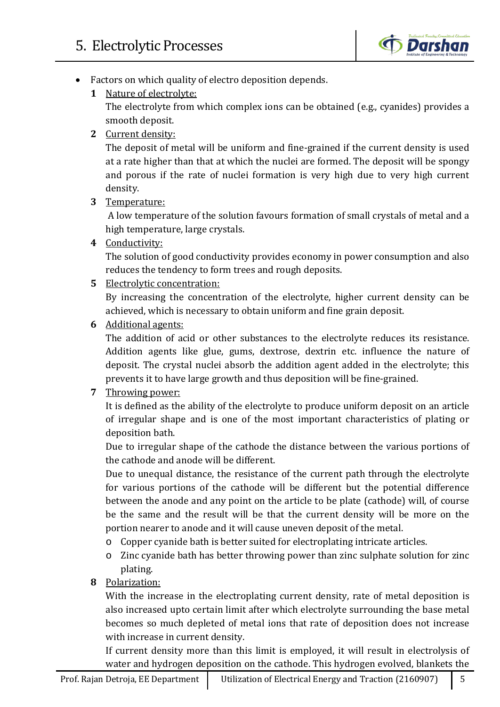

- Factors on which quality of electro deposition depends.
	- **1** Nature of electrolyte:

The electrolyte from which complex ions can be obtained (e.g., cyanides) provides a smooth deposit.

**2** Current density:

The deposit of metal will be uniform and fine-grained if the current density is used at a rate higher than that at which the nuclei are formed. The deposit will be spongy and porous if the rate of nuclei formation is very high due to very high current density.

**3** Temperature:

A low temperature of the solution favours formation of small crystals of metal and a high temperature, large crystals.

**4** Conductivity:

The solution of good conductivity provides economy in power consumption and also reduces the tendency to form trees and rough deposits.

**5** Electrolytic concentration:

By increasing the concentration of the electrolyte, higher current density can be achieved, which is necessary to obtain uniform and fine grain deposit.

**6** Additional agents:

The addition of acid or other substances to the electrolyte reduces its resistance. Addition agents like glue, gums, dextrose, dextrin etc. influence the nature of deposit. The crystal nuclei absorb the addition agent added in the electrolyte; this prevents it to have large growth and thus deposition will be fine-grained.

#### **7** Throwing power:

It is defined as the ability of the electrolyte to produce uniform deposit on an article of irregular shape and is one of the most important characteristics of plating or deposition bath.

Due to irregular shape of the cathode the distance between the various portions of the cathode and anode will be different.

Due to unequal distance, the resistance of the current path through the electrolyte for various portions of the cathode will be different but the potential difference between the anode and any point on the article to be plate (cathode) will, of course be the same and the result will be that the current density will be more on the portion nearer to anode and it will cause uneven deposit of the metal.

- o Copper cyanide bath is better suited for electroplating intricate articles.
- o Zinc cyanide bath has better throwing power than zinc sulphate solution for zinc plating.
- **8** Polarization:

With the increase in the electroplating current density, rate of metal deposition is also increased upto certain limit after which electrolyte surrounding the base metal becomes so much depleted of metal ions that rate of deposition does not increase with increase in current density.

If current density more than this limit is employed, it will result in electrolysis of water and hydrogen deposition on the cathode. This hydrogen evolved, blankets the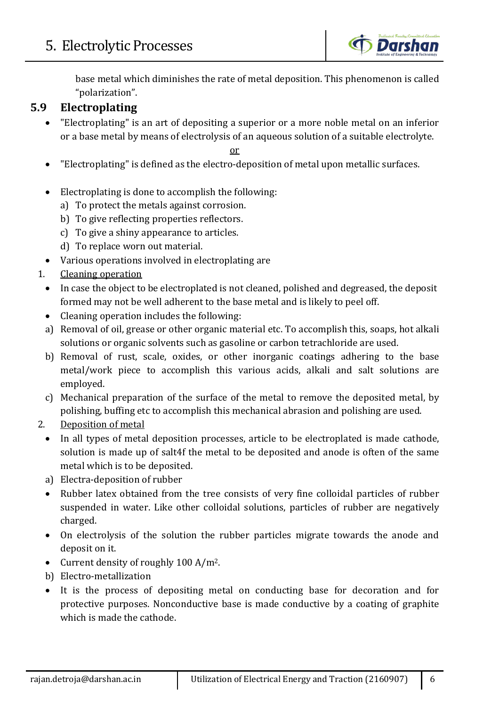

base metal which diminishes the rate of metal deposition. This phenomenon is called "polarization".

## **5.9 Electroplating**

• "Electroplating" is an art of depositing a superior or a more noble metal on an inferior or a base metal by means of electrolysis of an aqueous solution of a suitable electrolyte.

or

- "Electroplating" is defined as the electro-deposition of metal upon metallic surfaces.
- Electroplating is done to accomplish the following:
	- a) To protect the metals against corrosion.
	- b) To give reflecting properties reflectors.
	- c) To give a shiny appearance to articles.
	- d) To replace worn out material.
- Various operations involved in electroplating are
- 1. Cleaning operation
	- In case the object to be electroplated is not cleaned, polished and degreased, the deposit formed may not be well adherent to the base metal and is likely to peel off.
	- Cleaning operation includes the following:
	- a) Removal of oil, grease or other organic material etc. To accomplish this, soaps, hot alkali solutions or organic solvents such as gasoline or carbon tetrachloride are used.
	- b) Removal of rust, scale, oxides, or other inorganic coatings adhering to the base metal/work piece to accomplish this various acids, alkali and salt solutions are employed.
	- c) Mechanical preparation of the surface of the metal to remove the deposited metal, by polishing, buffing etc to accomplish this mechanical abrasion and polishing are used.
- 2. Deposition of metal
	- In all types of metal deposition processes, article to be electroplated is made cathode, solution is made up of salt4f the metal to be deposited and anode is often of the same metal which is to be deposited.
	- a) Electra-deposition of rubber
	- Rubber latex obtained from the tree consists of very fine colloidal particles of rubber suspended in water. Like other colloidal solutions, particles of rubber are negatively charged.
	- On electrolysis of the solution the rubber particles migrate towards the anode and deposit on it.
	- Current density of roughly 100 A/m<sup>2</sup>.
	- b) Electro-metallization
	- It is the process of depositing metal on conducting base for decoration and for protective purposes. Nonconductive base is made conductive by a coating of graphite which is made the cathode.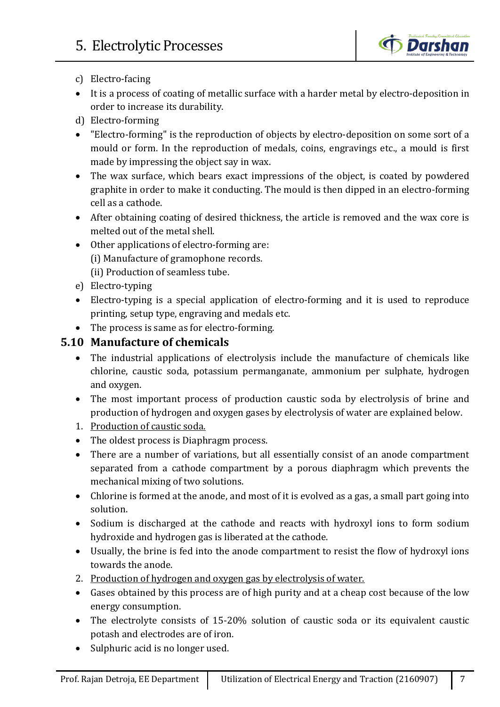

- c) Electro-facing
- It is a process of coating of metallic surface with a harder metal by electro-deposition in order to increase its durability.
- d) Electro-forming
- "Electro-forming" is the reproduction of objects by electro-deposition on some sort of a mould or form. In the reproduction of medals, coins, engravings etc., a mould is first made by impressing the object say in wax.
- The wax surface, which bears exact impressions of the object, is coated by powdered graphite in order to make it conducting. The mould is then dipped in an electro-forming cell as a cathode.
- After obtaining coating of desired thickness, the article is removed and the wax core is melted out of the metal shell.
- Other applications of electro-forming are: (i) Manufacture of gramophone records. (ii) Production of seamless tube.
- e) Electro-typing
- Electro-typing is a special application of electro-forming and it is used to reproduce printing, setup type, engraving and medals etc.
- The process is same as for electro-forming.

## **5.10 Manufacture of chemicals**

- The industrial applications of electrolysis include the manufacture of chemicals like chlorine, caustic soda, potassium permanganate, ammonium per sulphate, hydrogen and oxygen.
- The most important process of production caustic soda by electrolysis of brine and production of hydrogen and oxygen gases by electrolysis of water are explained below.
- 1. Production of caustic soda.
- The oldest process is Diaphragm process.
- There are a number of variations, but all essentially consist of an anode compartment separated from a cathode compartment by a porous diaphragm which prevents the mechanical mixing of two solutions.
- Chlorine is formed at the anode, and most of it is evolved as a gas, a small part going into solution.
- Sodium is discharged at the cathode and reacts with hydroxyl ions to form sodium hydroxide and hydrogen gas is liberated at the cathode.
- Usually, the brine is fed into the anode compartment to resist the flow of hydroxyl ions towards the anode.
- 2. Production of hydrogen and oxygen gas by electrolysis of water.
- Gases obtained by this process are of high purity and at a cheap cost because of the low energy consumption.
- The electrolyte consists of 15-20% solution of caustic soda or its equivalent caustic potash and electrodes are of iron.
- Sulphuric acid is no longer used.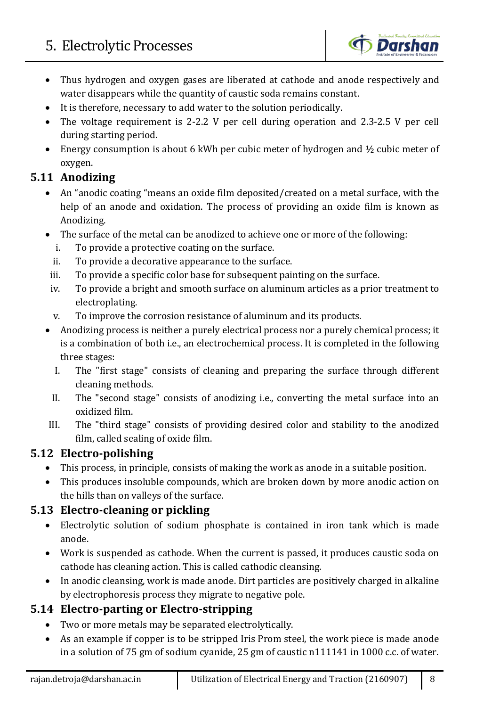

- Thus hydrogen and oxygen gases are liberated at cathode and anode respectively and water disappears while the quantity of caustic soda remains constant.
- It is therefore, necessary to add water to the solution periodically.
- The voltage requirement is 2-2.2 V per cell during operation and 2.3-2.5 V per cell during starting period.
- Energy consumption is about 6 kWh per cubic meter of hydrogen and  $\frac{1}{2}$  cubic meter of oxygen.

## **5.11 Anodizing**

- An "anodic coating "means an oxide film deposited/created on a metal surface, with the help of an anode and oxidation. The process of providing an oxide film is known as Anodizing.
- The surface of the metal can be anodized to achieve one or more of the following:
	- i. To provide a protective coating on the surface.
	- ii. To provide a decorative appearance to the surface.
- iii. To provide a specific color base for subsequent painting on the surface.
- iv. To provide a bright and smooth surface on aluminum articles as a prior treatment to electroplating.
- v. To improve the corrosion resistance of aluminum and its products.
- Anodizing process is neither a purely electrical process nor a purely chemical process; it is a combination of both i.e., an electrochemical process. It is completed in the following three stages:
	- I. The "first stage" consists of cleaning and preparing the surface through different cleaning methods.
- II. The "second stage" consists of anodizing i.e., converting the metal surface into an oxidized film.
- III. The "third stage" consists of providing desired color and stability to the anodized film, called sealing of oxide film.

## **5.12 Electro-polishing**

- This process, in principle, consists of making the work as anode in a suitable position.
- This produces insoluble compounds, which are broken down by more anodic action on the hills than on valleys of the surface.

## **5.13 Electro-cleaning or pickling**

- Electrolytic solution of sodium phosphate is contained in iron tank which is made anode.
- Work is suspended as cathode. When the current is passed, it produces caustic soda on cathode has cleaning action. This is called cathodic cleansing.
- In anodic cleansing, work is made anode. Dirt particles are positively charged in alkaline by electrophoresis process they migrate to negative pole.

## **5.14 Electro-parting or Electro-stripping**

- Two or more metals may be separated electrolytically.
- As an example if copper is to be stripped Iris Prom steel, the work piece is made anode in a solution of 75 gm of sodium cyanide, 25 gm of caustic n111141 in 1000 c.c. of water.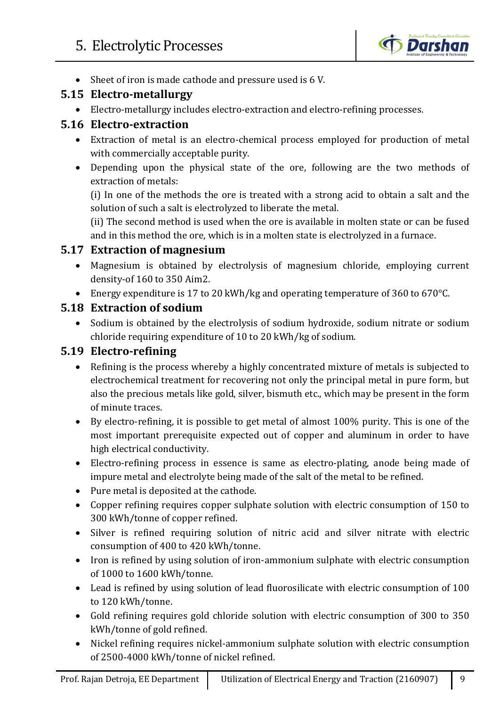

• Sheet of iron is made cathode and pressure used is 6 V.

## **5.15 Electro-metallurgy**

• Electro-metallurgy includes electro-extraction and electro-refining processes.

#### **5.16 Electro-extraction**

- Extraction of metal is an electro-chemical process employed for production of metal with commercially acceptable purity.
- Depending upon the physical state of the ore, following are the two methods of extraction of metals:

(i) In one of the methods the ore is treated with a strong acid to obtain a salt and the solution of such a salt is electrolyzed to liberate the metal.

(ii) The second method is used when the ore is available in molten state or can be fused and in this method the ore, which is in a molten state is electrolyzed in a furnace.

#### **5.17 Extraction of magnesium**

- Magnesium is obtained by electrolysis of magnesium chloride, employing current density-of 160 to 350 Aim2.
- Energy expenditure is 17 to 20 kWh/kg and operating temperature of 360 to 670°C.

#### **5.18 Extraction of sodium**

• Sodium is obtained by the electrolysis of sodium hydroxide, sodium nitrate or sodium chloride requiring expenditure of 10 to 20 kWh/kg of sodium.

## **5.19 Electro-refining**

- Refining is the process whereby a highly concentrated mixture of metals is subjected to electrochemical treatment for recovering not only the principal metal in pure form, but also the precious metals like gold, silver, bismuth etc., which may be present in the form of minute traces.
- By electro-refining, it is possible to get metal of almost 100% purity. This is one of the most important prerequisite expected out of copper and aluminum in order to have high electrical conductivity.
- Electro-refining process in essence is same as electro-plating, anode being made of impure metal and electrolyte being made of the salt of the metal to be refined.
- Pure metal is deposited at the cathode.
- Copper refining requires copper sulphate solution with electric consumption of 150 to 300 kWh/tonne of copper refined.
- Silver is refined requiring solution of nitric acid and silver nitrate with electric consumption of 400 to 420 kWh/tonne.
- Iron is refined by using solution of iron-ammonium sulphate with electric consumption of 1000 to 1600 kWh/tonne.
- Lead is refined by using solution of lead fluorosilicate with electric consumption of 100 to 120 kWh/tonne.
- Gold refining requires gold chloride solution with electric consumption of 300 to 350 kWh/tonne of gold refined.
- Nickel refining requires nickel-ammonium sulphate solution with electric consumption of 2500-4000 kWh/tonne of nickel refined.